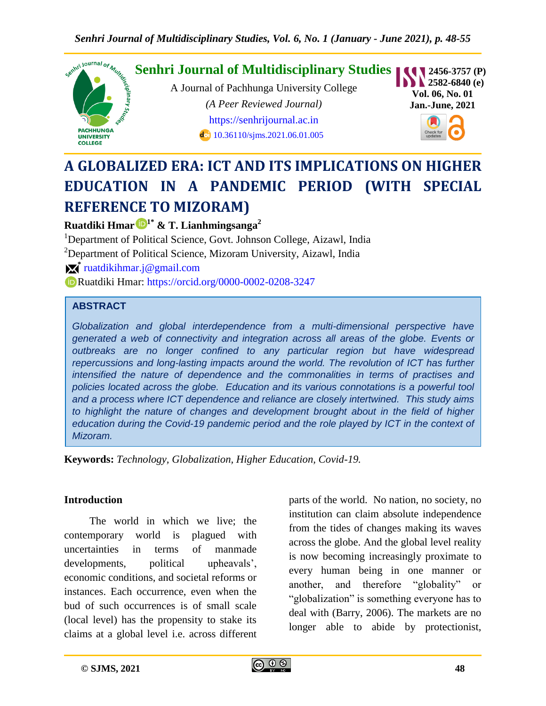

# **A GLOBALIZED ERA: ICT AND ITS IMPLICATIONS ON HIGHER EDUCATION IN A PANDEMIC PERIOD (WITH SPECIAL REFERENCE TO MIZORAM)**

**Ruatdiki Hmar 1\* & T. Lianhmingsanga<sup>2</sup>**

<sup>1</sup>Department of Political Science, Govt. Johnson College, Aizawl, India <sup>2</sup>Department of Political Science, Mizoram University, Aizawl, India **\*** [ruatdikihmar.j@gmail.com](mailto:ruatdikihmar.j@gmail.com) Ruatdiki Hmar:<https://orcid.org/0000-0002-0208-3247>

## **ABSTRACT**

*Globalization and global interdependence from a multi-dimensional perspective have generated a web of connectivity and integration across all areas of the globe. Events or outbreaks are no longer confined to any particular region but have widespread repercussions and long-lasting impacts around the world. The revolution of ICT has further intensified the nature of dependence and the commonalities in terms of practises and policies located across the globe. Education and its various connotations is a powerful tool and a process where ICT dependence and reliance are closely intertwined. This study aims to highlight the nature of changes and development brought about in the field of higher education during the Covid-19 pandemic period and the role played by ICT in the context of Mizoram.*

**Keywords:** *Technology, Globalization, Higher Education, Covid-19.*

#### **Introduction**

The world in which we live; the contemporary world is plagued with uncertainties in terms of manmade developments, political upheavals', economic conditions, and societal reforms or instances. Each occurrence, even when the bud of such occurrences is of small scale (local level) has the propensity to stake its claims at a global level i.e. across different parts of the world. No nation, no society, no institution can claim absolute independence from the tides of changes making its waves across the globe. And the global level reality is now becoming increasingly proximate to every human being in one manner or another, and therefore "globality" or "globalization" is something everyone has to deal with (Barry, 2006). The markets are no longer able to abide by protectionist,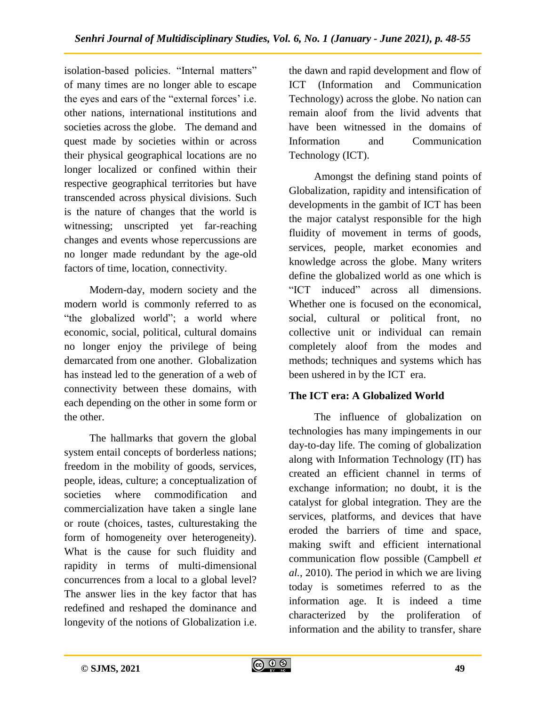isolation-based policies. "Internal matters" of many times are no longer able to escape the eyes and ears of the "external forces' i.e. other nations, international institutions and societies across the globe. The demand and quest made by societies within or across their physical geographical locations are no longer localized or confined within their respective geographical territories but have transcended across physical divisions. Such is the nature of changes that the world is witnessing; unscripted yet far-reaching changes and events whose repercussions are no longer made redundant by the age-old factors of time, location, connectivity.

Modern-day, modern society and the modern world is commonly referred to as "the globalized world"; a world where economic, social, political, cultural domains no longer enjoy the privilege of being demarcated from one another. Globalization has instead led to the generation of a web of connectivity between these domains, with each depending on the other in some form or the other.

The hallmarks that govern the global system entail concepts of borderless nations; freedom in the mobility of goods, services, people, ideas, culture; a conceptualization of societies where commodification and commercialization have taken a single lane or route (choices, tastes, culturestaking the form of homogeneity over heterogeneity). What is the cause for such fluidity and rapidity in terms of multi-dimensional concurrences from a local to a global level? The answer lies in the key factor that has redefined and reshaped the dominance and longevity of the notions of Globalization i.e.

the dawn and rapid development and flow of ICT (Information and Communication Technology) across the globe. No nation can remain aloof from the livid advents that have been witnessed in the domains of Information and Communication Technology (ICT).

Amongst the defining stand points of Globalization, rapidity and intensification of developments in the gambit of ICT has been the major catalyst responsible for the high fluidity of movement in terms of goods, services, people, market economies and knowledge across the globe. Many writers define the globalized world as one which is "ICT induced" across all dimensions. Whether one is focused on the economical, social, cultural or political front, no collective unit or individual can remain completely aloof from the modes and methods; techniques and systems which has been ushered in by the ICT era.

# **The ICT era: A Globalized World**

The influence of globalization on technologies has many impingements in our day-to-day life. The coming of globalization along with Information Technology (IT) has created an efficient channel in terms of exchange information; no doubt, it is the catalyst for global integration. They are the services, platforms, and devices that have eroded the barriers of time and space, making swift and efficient international communication flow possible (Campbell *et al.*, 2010). The period in which we are living today is sometimes referred to as the information age. It is indeed a time characterized by the proliferation of information and the ability to transfer, share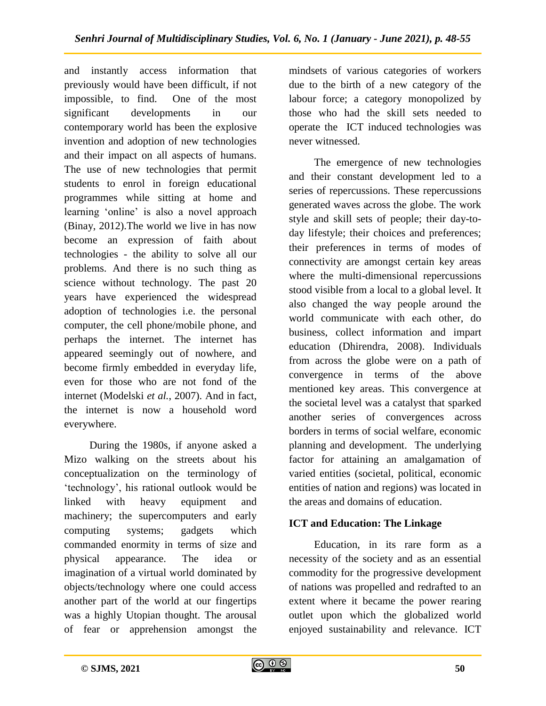and instantly access information that previously would have been difficult, if not impossible, to find. One of the most significant developments in our contemporary world has been the explosive invention and adoption of new technologies and their impact on all aspects of humans. The use of new technologies that permit students to enrol in foreign educational programmes while sitting at home and learning 'online' is also a novel approach (Binay, 2012).The world we live in has now become an expression of faith about technologies - the ability to solve all our problems. And there is no such thing as science without technology. The past 20 years have experienced the widespread adoption of technologies i.e. the personal computer, the cell phone/mobile phone, and perhaps the internet. The internet has appeared seemingly out of nowhere, and become firmly embedded in everyday life, even for those who are not fond of the internet (Modelski *et al.*, 2007). And in fact, the internet is now a household word everywhere.

During the 1980s, if anyone asked a Mizo walking on the streets about his conceptualization on the terminology of "technology", his rational outlook would be linked with heavy equipment and machinery; the supercomputers and early computing systems; gadgets which commanded enormity in terms of size and physical appearance. The idea or imagination of a virtual world dominated by objects/technology where one could access another part of the world at our fingertips was a highly Utopian thought. The arousal of fear or apprehension amongst the

mindsets of various categories of workers due to the birth of a new category of the labour force; a category monopolized by those who had the skill sets needed to operate the ICT induced technologies was never witnessed.

The emergence of new technologies and their constant development led to a series of repercussions. These repercussions generated waves across the globe. The work style and skill sets of people; their day-today lifestyle; their choices and preferences; their preferences in terms of modes of connectivity are amongst certain key areas where the multi-dimensional repercussions stood visible from a local to a global level. It also changed the way people around the world communicate with each other, do business, collect information and impart education (Dhirendra, 2008). Individuals from across the globe were on a path of convergence in terms of the above mentioned key areas. This convergence at the societal level was a catalyst that sparked another series of convergences across borders in terms of social welfare, economic planning and development. The underlying factor for attaining an amalgamation of varied entities (societal, political, economic entities of nation and regions) was located in the areas and domains of education.

# **ICT and Education: The Linkage**

Education, in its rare form as a necessity of the society and as an essential commodity for the progressive development of nations was propelled and redrafted to an extent where it became the power rearing outlet upon which the globalized world enjoyed sustainability and relevance. ICT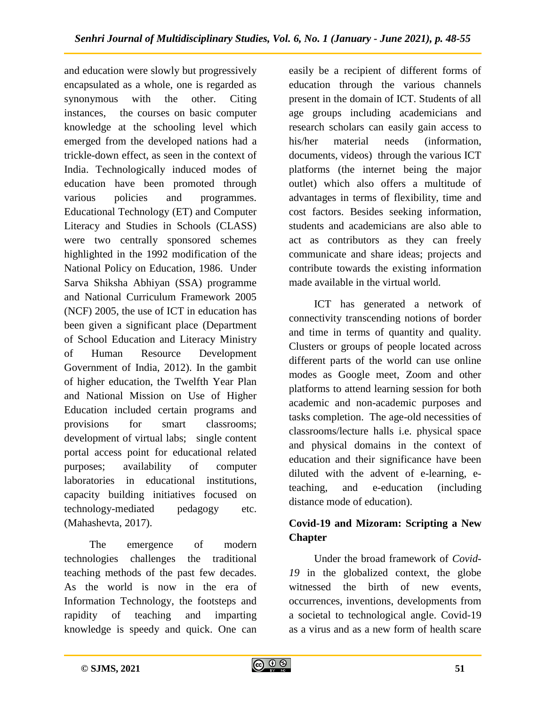and education were slowly but progressively encapsulated as a whole, one is regarded as synonymous with the other. Citing instances, the courses on basic computer knowledge at the schooling level which emerged from the developed nations had a trickle-down effect, as seen in the context of India. Technologically induced modes of education have been promoted through various policies and programmes. Educational Technology (ET) and Computer Literacy and Studies in Schools (CLASS) were two centrally sponsored schemes highlighted in the 1992 modification of the National Policy on Education, 1986. Under Sarva Shiksha Abhiyan (SSA) programme and National Curriculum Framework 2005 (NCF) 2005, the use of ICT in education has been given a significant place (Department of School Education and Literacy Ministry of Human Resource Development Government of India, 2012). In the gambit of higher education, the Twelfth Year Plan and National Mission on Use of Higher Education included certain programs and provisions for smart classrooms; development of virtual labs; single content portal access point for educational related purposes; availability of computer laboratories in educational institutions, capacity building initiatives focused on technology-mediated pedagogy etc. (Mahashevta, 2017).

The emergence of modern technologies challenges the traditional teaching methods of the past few decades. As the world is now in the era of Information Technology, the footsteps and rapidity of teaching and imparting knowledge is speedy and quick. One can

easily be a recipient of different forms of education through the various channels present in the domain of ICT. Students of all age groups including academicians and research scholars can easily gain access to his/her material needs (information, documents, videos) through the various ICT platforms (the internet being the major outlet) which also offers a multitude of advantages in terms of flexibility, time and cost factors. Besides seeking information, students and academicians are also able to act as contributors as they can freely communicate and share ideas; projects and contribute towards the existing information made available in the virtual world.

ICT has generated a network of connectivity transcending notions of border and time in terms of quantity and quality. Clusters or groups of people located across different parts of the world can use online modes as Google meet, Zoom and other platforms to attend learning session for both academic and non-academic purposes and tasks completion. The age-old necessities of classrooms/lecture halls i.e. physical space and physical domains in the context of education and their significance have been diluted with the advent of e-learning, eteaching, and e-education (including distance mode of education).

# **Covid-19 and Mizoram: Scripting a New Chapter**

Under the broad framework of *Covid-19* in the globalized context, the globe witnessed the birth of new events, occurrences, inventions, developments from a societal to technological angle. Covid-19 as a virus and as a new form of health scare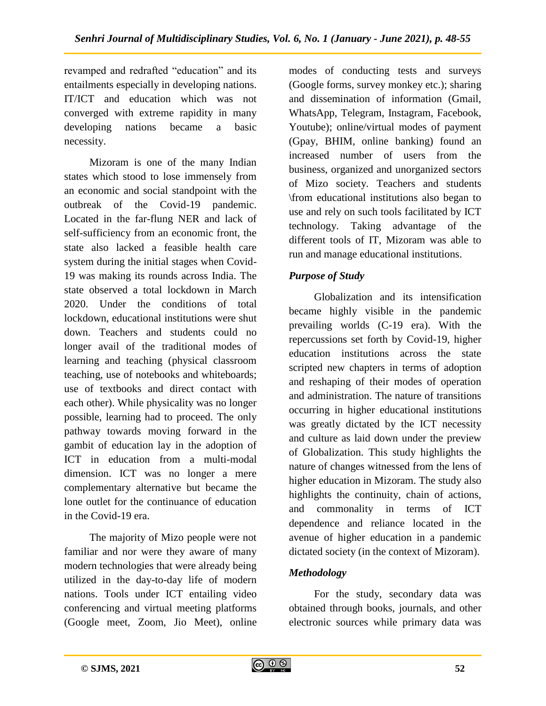revamped and redrafted "education" and its entailments especially in developing nations. IT/ICT and education which was not converged with extreme rapidity in many developing nations became a basic necessity.

Mizoram is one of the many Indian states which stood to lose immensely from an economic and social standpoint with the outbreak of the Covid-19 pandemic. Located in the far-flung NER and lack of self-sufficiency from an economic front, the state also lacked a feasible health care system during the initial stages when Covid-19 was making its rounds across India. The state observed a total lockdown in March 2020. Under the conditions of total lockdown, educational institutions were shut down. Teachers and students could no longer avail of the traditional modes of learning and teaching (physical classroom teaching, use of notebooks and whiteboards; use of textbooks and direct contact with each other). While physicality was no longer possible, learning had to proceed. The only pathway towards moving forward in the gambit of education lay in the adoption of ICT in education from a multi-modal dimension. ICT was no longer a mere complementary alternative but became the lone outlet for the continuance of education in the Covid-19 era.

The majority of Mizo people were not familiar and nor were they aware of many modern technologies that were already being utilized in the day-to-day life of modern nations. Tools under ICT entailing video conferencing and virtual meeting platforms (Google meet, Zoom, Jio Meet), online

modes of conducting tests and surveys (Google forms, survey monkey etc.); sharing and dissemination of information (Gmail, WhatsApp, Telegram, Instagram, Facebook, Youtube); online/virtual modes of payment (Gpay, BHIM, online banking) found an increased number of users from the business, organized and unorganized sectors of Mizo society. Teachers and students \from educational institutions also began to use and rely on such tools facilitated by ICT technology. Taking advantage of the different tools of IT, Mizoram was able to run and manage educational institutions.

# *Purpose of Study*

Globalization and its intensification became highly visible in the pandemic prevailing worlds (C-19 era). With the repercussions set forth by Covid-19, higher education institutions across the state scripted new chapters in terms of adoption and reshaping of their modes of operation and administration. The nature of transitions occurring in higher educational institutions was greatly dictated by the ICT necessity and culture as laid down under the preview of Globalization. This study highlights the nature of changes witnessed from the lens of higher education in Mizoram. The study also highlights the continuity, chain of actions, and commonality in terms of ICT dependence and reliance located in the avenue of higher education in a pandemic dictated society (in the context of Mizoram).

# *Methodology*

For the study, secondary data was obtained through books, journals, and other electronic sources while primary data was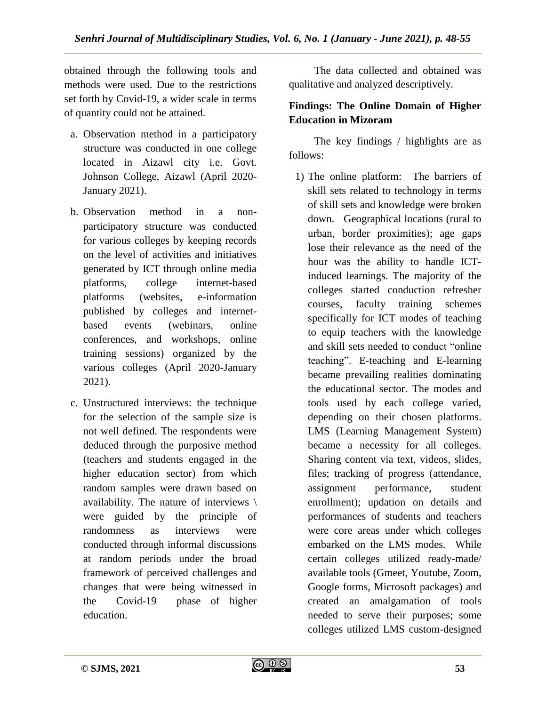obtained through the following tools and methods were used. Due to the restrictions set forth by Covid-19, a wider scale in terms of quantity could not be attained.

- a. Observation method in a participatory structure was conducted in one college located in Aizawl city i.e. Govt. Johnson College, Aizawl (April 2020- January 2021).
- b. Observation method in a nonparticipatory structure was conducted for various colleges by keeping records on the level of activities and initiatives generated by ICT through online media platforms, college internet-based platforms (websites, e-information published by colleges and internetbased events (webinars, online conferences, and workshops, online training sessions) organized by the various colleges (April 2020-January 2021).
- c. Unstructured interviews: the technique for the selection of the sample size is not well defined. The respondents were deduced through the purposive method (teachers and students engaged in the higher education sector) from which random samples were drawn based on availability. The nature of interviews  $\setminus$ were guided by the principle of randomness as interviews were conducted through informal discussions at random periods under the broad framework of perceived challenges and changes that were being witnessed in the Covid-19 phase of higher education.

The data collected and obtained was qualitative and analyzed descriptively.

## **Findings: The Online Domain of Higher Education in Mizoram**

The key findings / highlights are as follows:

1) The online platform: The barriers of skill sets related to technology in terms of skill sets and knowledge were broken down. Geographical locations (rural to urban, border proximities); age gaps lose their relevance as the need of the hour was the ability to handle ICTinduced learnings. The majority of the colleges started conduction refresher courses, faculty training schemes specifically for ICT modes of teaching to equip teachers with the knowledge and skill sets needed to conduct "online teaching". E-teaching and E-learning became prevailing realities dominating the educational sector. The modes and tools used by each college varied, depending on their chosen platforms. LMS (Learning Management System) became a necessity for all colleges. Sharing content via text, videos, slides, files; tracking of progress (attendance, assignment performance, student enrollment); updation on details and performances of students and teachers were core areas under which colleges embarked on the LMS modes. While certain colleges utilized ready-made/ available tools (Gmeet, Youtube, Zoom, Google forms, Microsoft packages) and created an amalgamation of tools needed to serve their purposes; some colleges utilized LMS custom-designed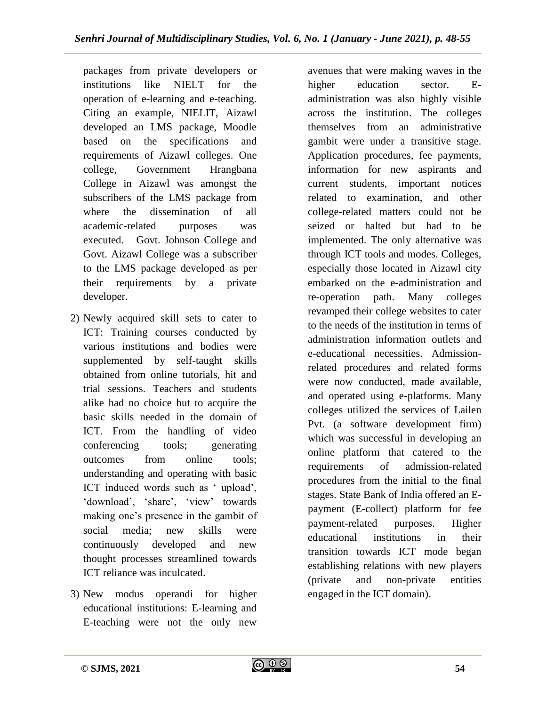packages from private developers or institutions like NIELT for the operation of e-learning and e-teaching. Citing an example, NIELIT, Aizawl developed an LMS package, Moodle based on the specifications and requirements of Aizawl colleges. One college, Government Hrangbana College in Aizawl was amongst the subscribers of the LMS package from where the dissemination of all academic-related purposes was executed. Govt. Johnson College and Govt. Aizawl College was a subscriber to the LMS package developed as per their requirements by a private developer.

- 2) Newly acquired skill sets to cater to ICT: Training courses conducted by various institutions and bodies were supplemented by self-taught skills obtained from online tutorials, hit and trial sessions. Teachers and students alike had no choice but to acquire the basic skills needed in the domain of ICT. From the handling of video conferencing tools; generating outcomes from online tools; understanding and operating with basic ICT induced words such as 'upload', 'download', 'share', 'view' towards making one"s presence in the gambit of social media; new skills were continuously developed and new thought processes streamlined towards ICT reliance was inculcated.
- 3) New modus operandi for higher educational institutions: E-learning and E-teaching were not the only new

avenues that were making waves in the higher education sector. Eadministration was also highly visible across the institution. The colleges themselves from an administrative gambit were under a transitive stage. Application procedures, fee payments, information for new aspirants and current students, important notices related to examination, and other college-related matters could not be seized or halted but had to be implemented. The only alternative was through ICT tools and modes. Colleges, especially those located in Aizawl city embarked on the e-administration and re-operation path. Many colleges revamped their college websites to cater to the needs of the institution in terms of administration information outlets and e-educational necessities. Admissionrelated procedures and related forms were now conducted, made available, and operated using e-platforms. Many colleges utilized the services of Lailen Pvt. (a software development firm) which was successful in developing an online platform that catered to the requirements of admission-related procedures from the initial to the final stages. State Bank of India offered an Epayment (E-collect) platform for fee payment-related purposes. Higher educational institutions in their transition towards ICT mode began establishing relations with new players (private and non-private entities engaged in the ICT domain).